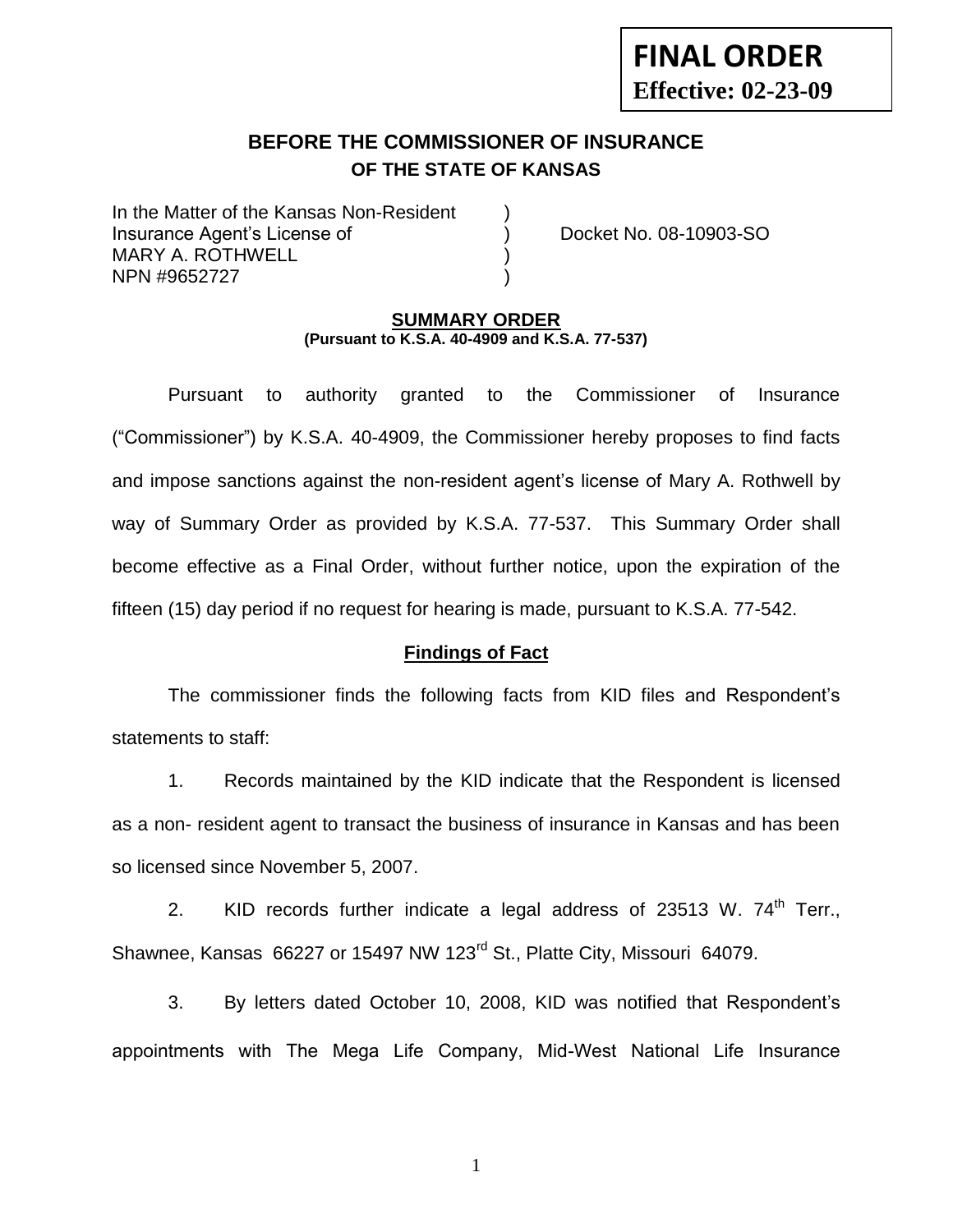# **FINAL ORDER Effective: 02-23-09**

# **BEFORE THE COMMISSIONER OF INSURANCE OF THE STATE OF KANSAS**

In the Matter of the Kansas Non-Resident Insurance Agent's License of ) Docket No. 08-10903-SO MARY A. ROTHWELL NPN #9652727 )

#### **SUMMARY ORDER (Pursuant to K.S.A. 40-4909 and K.S.A. 77-537)**

Pursuant to authority granted to the Commissioner of Insurance ("Commissioner") by K.S.A. 40-4909, the Commissioner hereby proposes to find facts and impose sanctions against the non-resident agent's license of Mary A. Rothwell by way of Summary Order as provided by K.S.A. 77-537. This Summary Order shall become effective as a Final Order, without further notice, upon the expiration of the fifteen (15) day period if no request for hearing is made, pursuant to K.S.A. 77-542.

#### **Findings of Fact**

The commissioner finds the following facts from KID files and Respondent's statements to staff:

1. Records maintained by the KID indicate that the Respondent is licensed as a non- resident agent to transact the business of insurance in Kansas and has been so licensed since November 5, 2007.

2. KID records further indicate a legal address of 23513 W.  $74<sup>th</sup>$  Terr., Shawnee, Kansas 66227 or 15497 NW 123<sup>rd</sup> St., Platte City, Missouri 64079.

3. By letters dated October 10, 2008, KID was notified that Respondent's appointments with The Mega Life Company, Mid-West National Life Insurance

1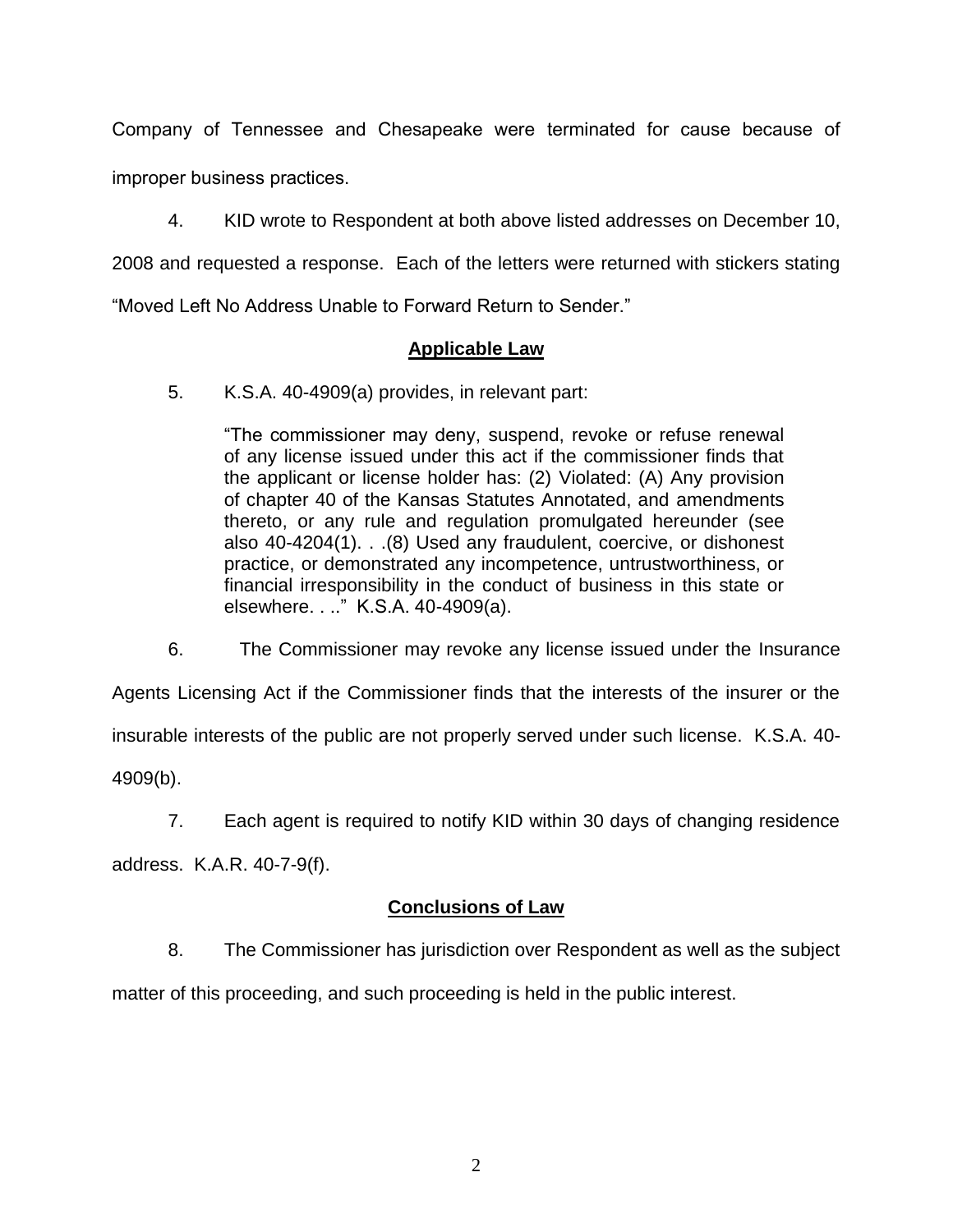Company of Tennessee and Chesapeake were terminated for cause because of improper business practices.

4. KID wrote to Respondent at both above listed addresses on December 10, 2008 and requested a response. Each of the letters were returned with stickers stating

"Moved Left No Address Unable to Forward Return to Sender."

### **Applicable Law**

5. K.S.A. 40-4909(a) provides, in relevant part:

"The commissioner may deny, suspend, revoke or refuse renewal of any license issued under this act if the commissioner finds that the applicant or license holder has: (2) Violated: (A) Any provision of chapter 40 of the Kansas Statutes Annotated, and amendments thereto, or any rule and regulation promulgated hereunder (see also 40-4204(1). . .(8) Used any fraudulent, coercive, or dishonest practice, or demonstrated any incompetence, untrustworthiness, or financial irresponsibility in the conduct of business in this state or elsewhere. . .." K.S.A. 40-4909(a).

6. The Commissioner may revoke any license issued under the Insurance

Agents Licensing Act if the Commissioner finds that the interests of the insurer or the

insurable interests of the public are not properly served under such license. K.S.A. 40-

4909(b).

7. Each agent is required to notify KID within 30 days of changing residence

address. K.A.R. 40-7-9(f).

### **Conclusions of Law**

8. The Commissioner has jurisdiction over Respondent as well as the subject

matter of this proceeding, and such proceeding is held in the public interest.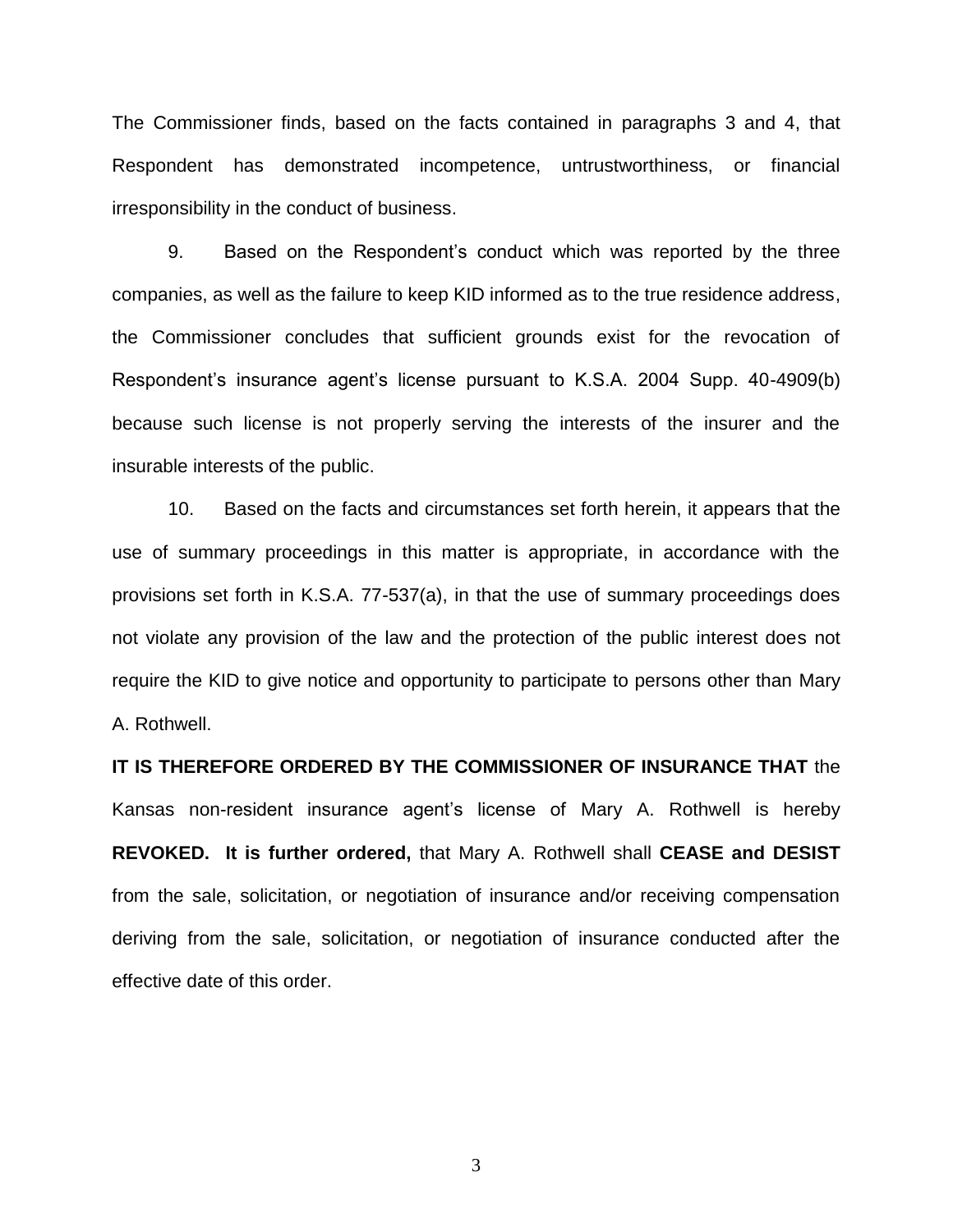The Commissioner finds, based on the facts contained in paragraphs 3 and 4, that Respondent has demonstrated incompetence, untrustworthiness, or financial irresponsibility in the conduct of business.

9. Based on the Respondent's conduct which was reported by the three companies, as well as the failure to keep KID informed as to the true residence address, the Commissioner concludes that sufficient grounds exist for the revocation of Respondent's insurance agent's license pursuant to K.S.A. 2004 Supp. 40-4909(b) because such license is not properly serving the interests of the insurer and the insurable interests of the public.

10. Based on the facts and circumstances set forth herein, it appears that the use of summary proceedings in this matter is appropriate, in accordance with the provisions set forth in K.S.A. 77-537(a), in that the use of summary proceedings does not violate any provision of the law and the protection of the public interest does not require the KID to give notice and opportunity to participate to persons other than Mary A. Rothwell.

**IT IS THEREFORE ORDERED BY THE COMMISSIONER OF INSURANCE THAT** the Kansas non-resident insurance agent's license of Mary A. Rothwell is hereby **REVOKED. It is further ordered,** that Mary A. Rothwell shall **CEASE and DESIST** from the sale, solicitation, or negotiation of insurance and/or receiving compensation deriving from the sale, solicitation, or negotiation of insurance conducted after the effective date of this order.

3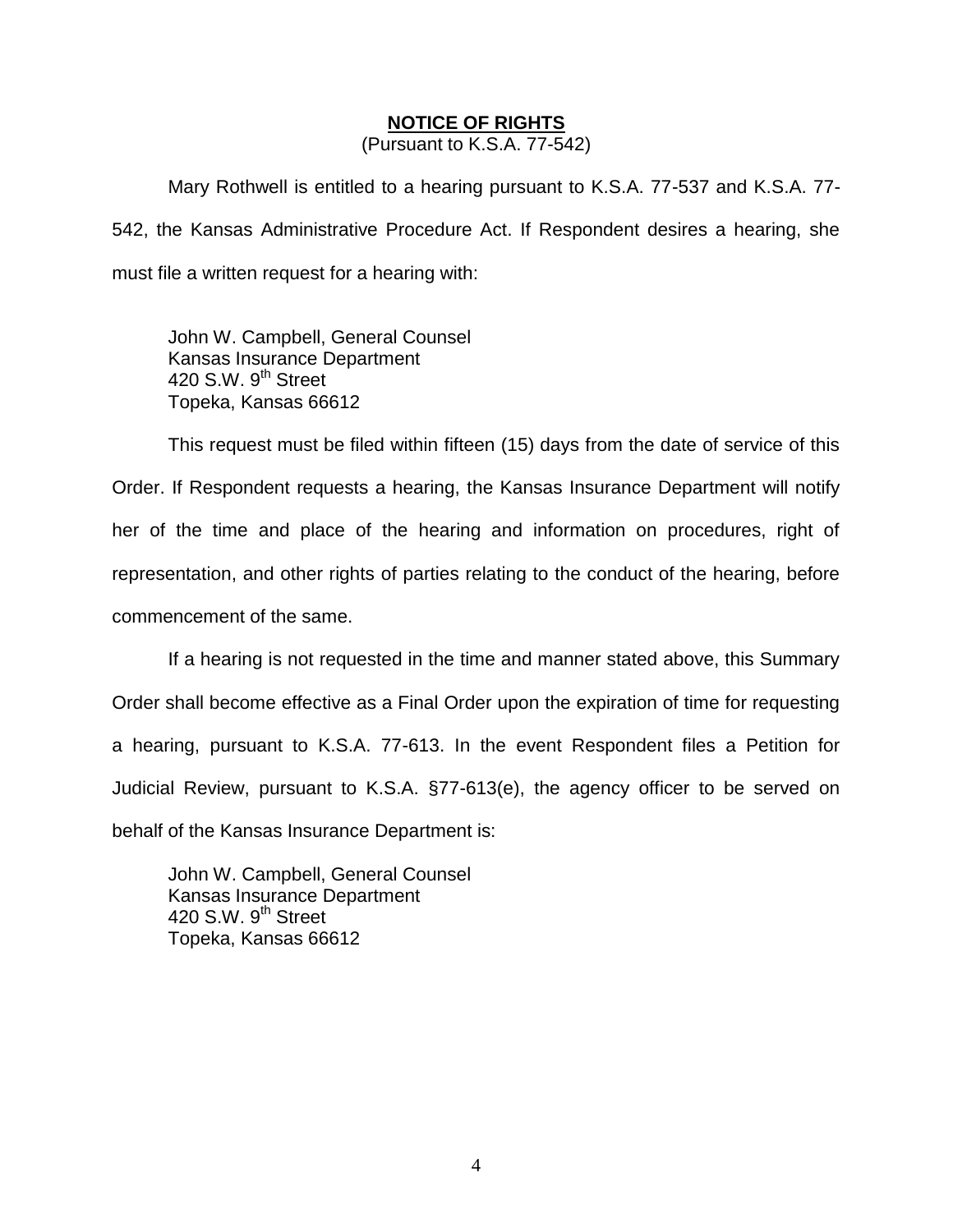#### **NOTICE OF RIGHTS**

(Pursuant to K.S.A. 77-542)

Mary Rothwell is entitled to a hearing pursuant to K.S.A. 77-537 and K.S.A. 77- 542, the Kansas Administrative Procedure Act. If Respondent desires a hearing, she must file a written request for a hearing with:

John W. Campbell, General Counsel Kansas Insurance Department 420 S.W. 9<sup>th</sup> Street Topeka, Kansas 66612

This request must be filed within fifteen (15) days from the date of service of this Order. If Respondent requests a hearing, the Kansas Insurance Department will notify her of the time and place of the hearing and information on procedures, right of representation, and other rights of parties relating to the conduct of the hearing, before commencement of the same.

If a hearing is not requested in the time and manner stated above, this Summary Order shall become effective as a Final Order upon the expiration of time for requesting a hearing, pursuant to K.S.A. 77-613. In the event Respondent files a Petition for Judicial Review, pursuant to K.S.A. §77-613(e), the agency officer to be served on behalf of the Kansas Insurance Department is:

John W. Campbell, General Counsel Kansas Insurance Department 420 S.W. 9<sup>th</sup> Street Topeka, Kansas 66612